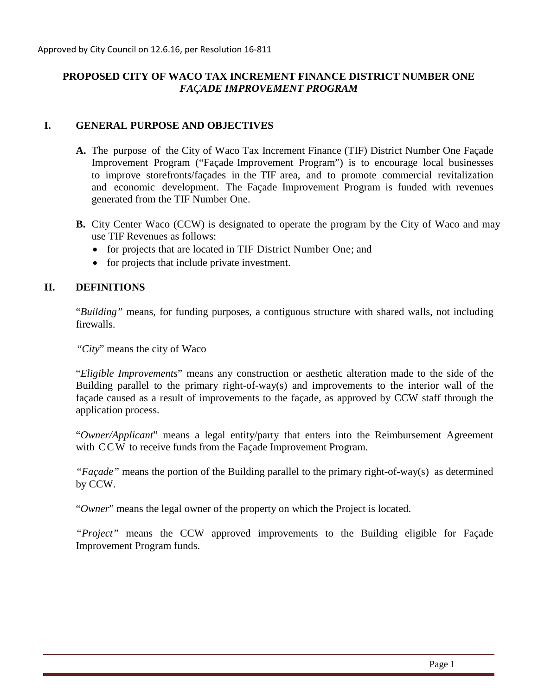# **PROPOSED CITY OF WACO TAX INCREMENT FINANCE DISTRICT NUMBER ONE** *FAÇADE IMPROVEMENT PROGRAM*

## **I. GENERAL PURPOSE AND OBJECTIVES**

- **A.** The purpose of the City of Waco Tax Increment Finance (TIF) District Number One Façade Improvement Program ("Façade Improvement Program") is to encourage local businesses to improve storefronts/façades in the TIF area, and to promote commercial revitalization and economic development. The Façade Improvement Program is funded with revenues generated from the TIF Number One.
- **B.** City Center Waco (CCW) is designated to operate the program by the City of Waco and may use TIF Revenues as follows:
	- for projects that are located in TIF District Number One; and
	- for projects that include private investment.

## **II. DEFINITIONS**

"*Building"* means, for funding purposes, a contiguous structure with shared walls, not including firewalls.

"*City*" means the city of Waco

"*Eligible Improvements*" means any construction or aesthetic alteration made to the side of the Building parallel to the primary right-of-way(s) and improvements to the interior wall of the façade caused as a result of improvements to the façade, as approved by CCW staff through the application process.

"*Owner/Applicant*" means a legal entity/party that enters into the Reimbursement Agreement with CCW to receive funds from the Façade Improvement Program.

*"Façade"* means the portion of the Building parallel to the primary right-of-way(s) as determined by CCW.

"*Owner*" means the legal owner of the property on which the Project is located.

*"Project"* means the CCW approved improvements to the Building eligible for Façade Improvement Program funds.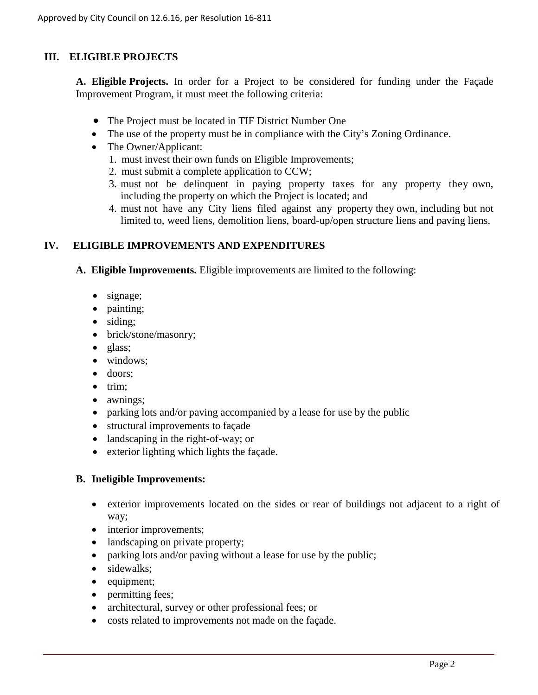# **III. ELIGIBLE PROJECTS**

**A. Eligible Projects.** In order for a Project to be considered for funding under the Façade Improvement Program, it must meet the following criteria:

- The Project must be located in TIF District Number One
- The use of the property must be in compliance with the City's Zoning Ordinance.
- The Owner/Applicant:
	- 1. must invest their own funds on Eligible Improvements;
	- 2. must submit a complete application to CCW;
	- 3. must not be delinquent in paying property taxes for any property they own, including the property on which the Project is located; and
	- 4. must not have any City liens filed against any property they own, including but not limited to, weed liens, demolition liens, board-up/open structure liens and paving liens.

## **IV. ELIGIBLE IMPROVEMENTS AND EXPENDITURES**

**A. Eligible Improvements.** Eligible improvements are limited to the following:

- signage;
- painting;
- siding;
- brick/stone/masonry;
- glass;
- windows;
- doors:
- trim;
- awnings;
- parking lots and/or paving accompanied by a lease for use by the public
- structural improvements to façade
- landscaping in the right-of-way; or
- exterior lighting which lights the facade.

#### **B. Ineligible Improvements:**

- exterior improvements located on the sides or rear of buildings not adjacent to a right of way;
- interior improvements;
- landscaping on private property;
- parking lots and/or paving without a lease for use by the public;
- sidewalks;
- equipment;
- permitting fees;
- architectural, survey or other professional fees; or
- costs related to improvements not made on the façade.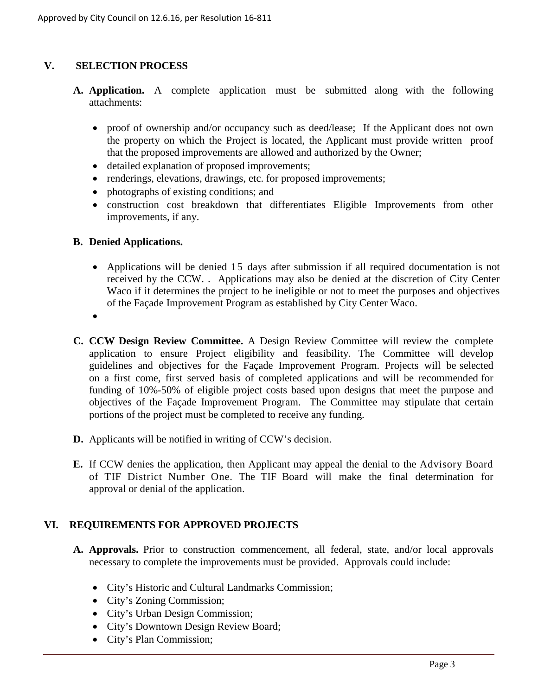# **V. SELECTION PROCESS**

- **A. Application.** A complete application must be submitted along with the following attachments:
	- proof of ownership and/or occupancy such as deed/lease; If the Applicant does not own the property on which the Project is located, the Applicant must provide written proof that the proposed improvements are allowed and authorized by the Owner;
	- detailed explanation of proposed improvements;
	- renderings, elevations, drawings, etc. for proposed improvements;
	- photographs of existing conditions; and
	- construction cost breakdown that differentiates Eligible Improvements from other improvements, if any.
- **B. Denied Applications.**
	- Applications will be denied 15 days after submission if all required documentation is not received by the CCW. . Applications may also be denied at the discretion of City Center Waco if it determines the project to be ineligible or not to meet the purposes and objectives of the Façade Improvement Program as established by City Center Waco.
	- •
- **C. CCW Design Review Committee.** A Design Review Committee will review the complete application to ensure Project eligibility and feasibility. The Committee will develop guidelines and objectives for the Façade Improvement Program. Projects will be selected on a first come, first served basis of completed applications and will be recommended for funding of 10%-50% of eligible project costs based upon designs that meet the purpose and objectives of the Façade Improvement Program. The Committee may stipulate that certain portions of the project must be completed to receive any funding.
- **D.** Applicants will be notified in writing of CCW's decision.
- **E.** If CCW denies the application, then Applicant may appeal the denial to the Advisory Board of TIF District Number One. The TIF Board will make the final determination for approval or denial of the application.

# **VI. REQUIREMENTS FOR APPROVED PROJECTS**

- **A. Approvals.** Prior to construction commencement, all federal, state, and/or local approvals necessary to complete the improvements must be provided. Approvals could include:
	- City's Historic and Cultural Landmarks Commission;
	- City's Zoning Commission;
	- City's Urban Design Commission;
	- City's Downtown Design Review Board;
	- City's Plan Commission;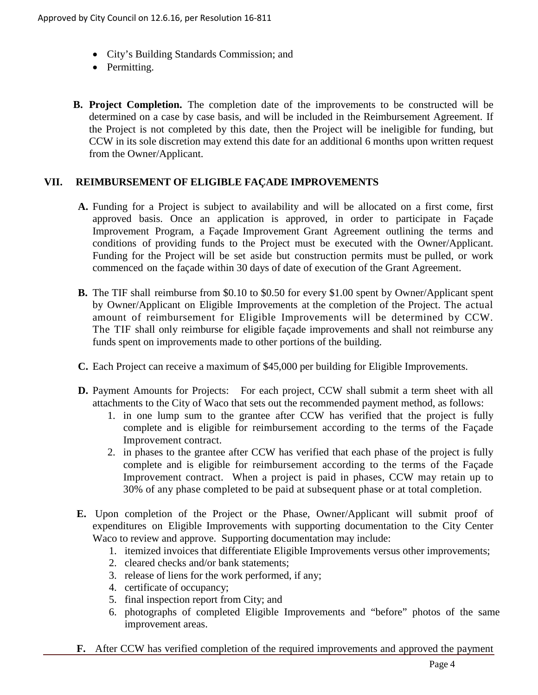- City's Building Standards Commission; and
- Permitting.
- **B. Project Completion.** The completion date of the improvements to be constructed will be determined on a case by case basis, and will be included in the Reimbursement Agreement. If the Project is not completed by this date, then the Project will be ineligible for funding, but CCW in its sole discretion may extend this date for an additional 6 months upon written request from the Owner/Applicant.

## **VII. REIMBURSEMENT OF ELIGIBLE FAÇADE IMPROVEMENTS**

- **A.** Funding for a Project is subject to availability and will be allocated on a first come, first approved basis. Once an application is approved, in order to participate in Façade Improvement Program, a Façade Improvement Grant Agreement outlining the terms and conditions of providing funds to the Project must be executed with the Owner/Applicant. Funding for the Project will be set aside but construction permits must be pulled, or work commenced on the façade within 30 days of date of execution of the Grant Agreement.
- **B.** The TIF shall reimburse from \$0.10 to \$0.50 for every \$1.00 spent by Owner/Applicant spent by Owner/Applicant on Eligible Improvements at the completion of the Project. The actual amount of reimbursement for Eligible Improvements will be determined by CCW. The TIF shall only reimburse for eligible façade improvements and shall not reimburse any funds spent on improvements made to other portions of the building.
- **C.** Each Project can receive a maximum of \$45,000 per building for Eligible Improvements.
- **D.** Payment Amounts for Projects: For each project, CCW shall submit a term sheet with all attachments to the City of Waco that sets out the recommended payment method, as follows:
	- 1. in one lump sum to the grantee after CCW has verified that the project is fully complete and is eligible for reimbursement according to the terms of the Façade Improvement contract.
	- 2. in phases to the grantee after CCW has verified that each phase of the project is fully complete and is eligible for reimbursement according to the terms of the Façade Improvement contract. When a project is paid in phases, CCW may retain up to 30% of any phase completed to be paid at subsequent phase or at total completion.
- **E.** Upon completion of the Project or the Phase, Owner/Applicant will submit proof of expenditures on Eligible Improvements with supporting documentation to the City Center Waco to review and approve. Supporting documentation may include:
	- 1. itemized invoices that differentiate Eligible Improvements versus other improvements;
	- 2. cleared checks and/or bank statements;
	- 3. release of liens for the work performed, if any;
	- 4. certificate of occupancy;
	- 5. final inspection report from City; and
	- 6. photographs of completed Eligible Improvements and "before" photos of the same improvement areas.
- **F.** After CCW has verified completion of the required improvements and approved the payment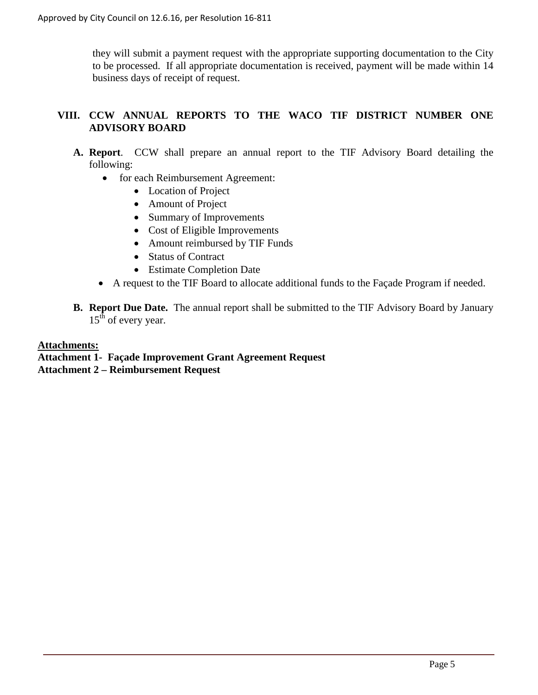they will submit a payment request with the appropriate supporting documentation to the City to be processed. If all appropriate documentation is received, payment will be made within 14 business days of receipt of request.

# **VIII. CCW ANNUAL REPORTS TO THE WACO TIF DISTRICT NUMBER ONE ADVISORY BOARD**

- **A. Report**. CCW shall prepare an annual report to the TIF Advisory Board detailing the following:
	- for each Reimbursement Agreement:
		- Location of Project
		- Amount of Project
		- Summary of Improvements
		- Cost of Eligible Improvements
		- Amount reimbursed by TIF Funds
		- Status of Contract
		- Estimate Completion Date
	- A request to the TIF Board to allocate additional funds to the Façade Program if needed.
- **B. Report Due Date.** The annual report shall be submitted to the TIF Advisory Board by January  $15<sup>th</sup>$  of every year.

## **Attachments:**

**Attachment 1- Façade Improvement Grant Agreement Request**

**Attachment 2 – Reimbursement Request**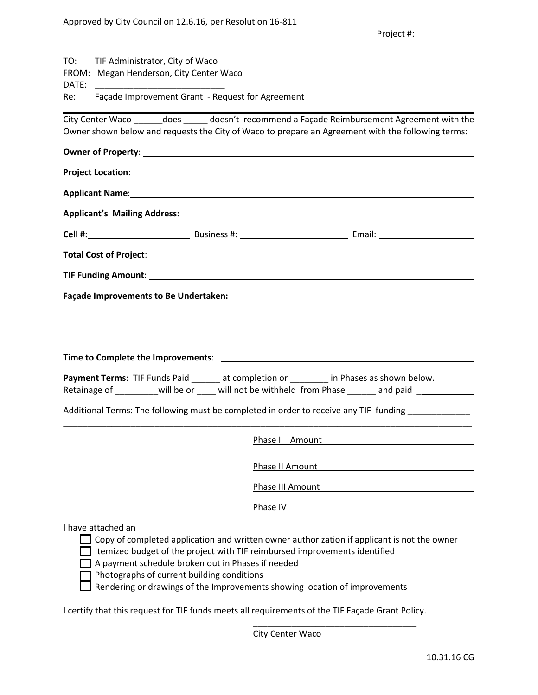|       |                                                                                                                                                                                                                                      | Project #: New York Project #:                                                                                                                                                                                                                          |
|-------|--------------------------------------------------------------------------------------------------------------------------------------------------------------------------------------------------------------------------------------|---------------------------------------------------------------------------------------------------------------------------------------------------------------------------------------------------------------------------------------------------------|
| DATE: | TO: TIF Administrator, City of Waco<br>FROM: Megan Henderson, City Center Waco                                                                                                                                                       |                                                                                                                                                                                                                                                         |
| Re:   | Façade Improvement Grant - Request for Agreement                                                                                                                                                                                     |                                                                                                                                                                                                                                                         |
|       |                                                                                                                                                                                                                                      | City Center Waco _______ does _______ doesn't recommend a Façade Reimbursement Agreement with the<br>Owner shown below and requests the City of Waco to prepare an Agreement with the following terms:                                                  |
|       | Owner of Property: <u>contract the contract of the contract of the contract of the contract of the contract of the contract of the contract of the contract of the contract of the contract of the contract of the contract of t</u> |                                                                                                                                                                                                                                                         |
|       |                                                                                                                                                                                                                                      | Project Location: <u>Construction of the Construction of the Construction of the Construction of the Construction</u>                                                                                                                                   |
|       |                                                                                                                                                                                                                                      | Applicant Name: 1988 and 2008 and 2008 and 2008 and 2008 and 2008 and 2008 and 2008 and 2008 and 2008 and 2008                                                                                                                                          |
|       |                                                                                                                                                                                                                                      | Applicant's Mailing Address: Manual Applicant's Mailing Address:                                                                                                                                                                                        |
|       |                                                                                                                                                                                                                                      |                                                                                                                                                                                                                                                         |
|       |                                                                                                                                                                                                                                      | Total Cost of Project: <u>Contract Contract Cost of Project Cost of August 2014</u>                                                                                                                                                                     |
|       |                                                                                                                                                                                                                                      |                                                                                                                                                                                                                                                         |
|       | <b>Façade Improvements to Be Undertaken:</b>                                                                                                                                                                                         |                                                                                                                                                                                                                                                         |
|       |                                                                                                                                                                                                                                      |                                                                                                                                                                                                                                                         |
|       |                                                                                                                                                                                                                                      |                                                                                                                                                                                                                                                         |
|       |                                                                                                                                                                                                                                      | ,我们也不会有什么。""我们的人,我们也不会有什么?""我们的人,我们也不会有什么?""我们的人,我们也不会有什么?""我们的人,我们也不会有什么?""我们的人                                                                                                                                                                        |
|       |                                                                                                                                                                                                                                      |                                                                                                                                                                                                                                                         |
|       |                                                                                                                                                                                                                                      | Payment Terms: TIF Funds Paid ______ at completion or _______ in Phases as shown below.<br>Retainage of __________will be or ____ will not be withheld from Phase ______ and paid ___________                                                           |
|       |                                                                                                                                                                                                                                      | Additional Terms: The following must be completed in order to receive any TIF funding                                                                                                                                                                   |
|       |                                                                                                                                                                                                                                      |                                                                                                                                                                                                                                                         |
|       |                                                                                                                                                                                                                                      | Phase I Amount                                                                                                                                                                                                                                          |
|       |                                                                                                                                                                                                                                      | Phase II Amount                                                                                                                                                                                                                                         |
|       |                                                                                                                                                                                                                                      | Phase III Amount                                                                                                                                                                                                                                        |
|       |                                                                                                                                                                                                                                      | Phase IV                                                                                                                                                                                                                                                |
|       | I have attached an<br>A payment schedule broken out in Phases if needed<br>Photographs of current building conditions                                                                                                                | Copy of completed application and written owner authorization if applicant is not the owner<br>Itemized budget of the project with TIF reimbursed improvements identified<br>Rendering or drawings of the Improvements showing location of improvements |

I certify that this request for TIF funds meets all requirements of the TIF Façade Grant Policy.

City Center Waco

\_\_\_\_\_\_\_\_\_\_\_\_\_\_\_\_\_\_\_\_\_\_\_\_\_\_\_\_\_\_\_\_\_\_